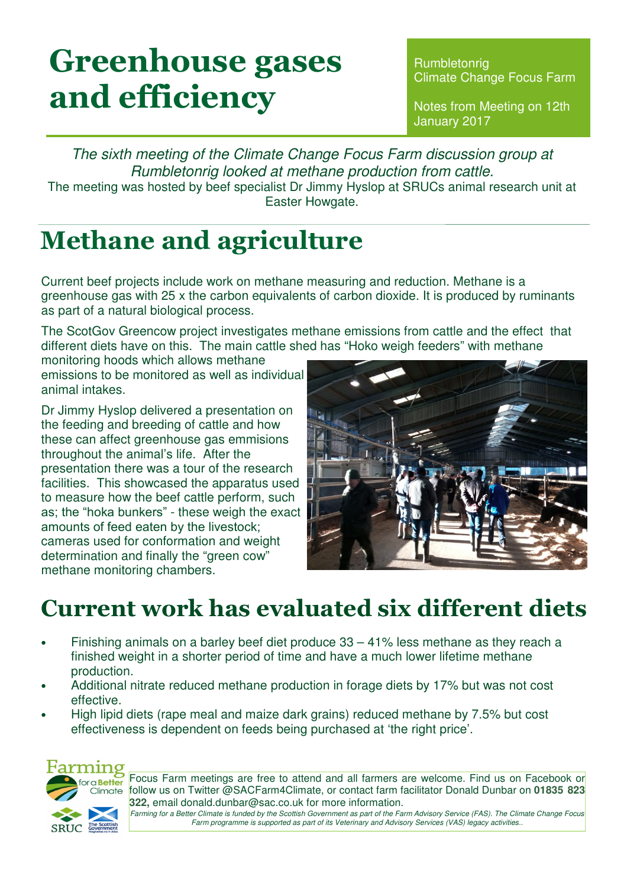# Greenhouse gases and efficiency

**Rumbletonrig** Climate Change Focus Farm

Notes from Meeting on 12th January 2017

The sixth meeting of the Climate Change Focus Farm discussion group at Rumbletonrig looked at methane production from cattle. The meeting was hosted by beef specialist Dr Jimmy Hyslop at SRUCs animal research unit at Easter Howgate.

## Methane and agriculture

Current beef projects include work on methane measuring and reduction. Methane is a greenhouse gas with 25 x the carbon equivalents of carbon dioxide. It is produced by ruminants as part of a natural biological process.

The ScotGov Greencow project investigates methane emissions from cattle and the effect that different diets have on this. The main cattle shed has "Hoko weigh feeders" with methane

monitoring hoods which allows methane emissions to be monitored as well as individual animal intakes.

Dr Jimmy Hyslop delivered a presentation on the feeding and breeding of cattle and how these can affect greenhouse gas emmisions throughout the animal's life. After the presentation there was a tour of the research facilities. This showcased the apparatus used to measure how the beef cattle perform, such as; the "hoka bunkers" - these weigh the exact amounts of feed eaten by the livestock; cameras used for conformation and weight determination and finally the "green cow" methane monitoring chambers.



## Current work has evaluated six different diets

- Finishing animals on a barley beef diet produce  $33 41\%$  less methane as they reach a finished weight in a shorter period of time and have a much lower lifetime methane production.
- Additional nitrate reduced methane production in forage diets by 17% but was not cost effective.
- High lipid diets (rape meal and maize dark grains) reduced methane by 7.5% but cost effectiveness is dependent on feeds being purchased at 'the right price'.



Focus Farm meetings are free to attend and all farmers are welcome. Find us on Facebook or follow us on Twitter @SACFarm4Climate, or contact farm facilitator Donald Dunbar on **01835 823 322,** email donald.dunbar@sac.co.uk for more information.